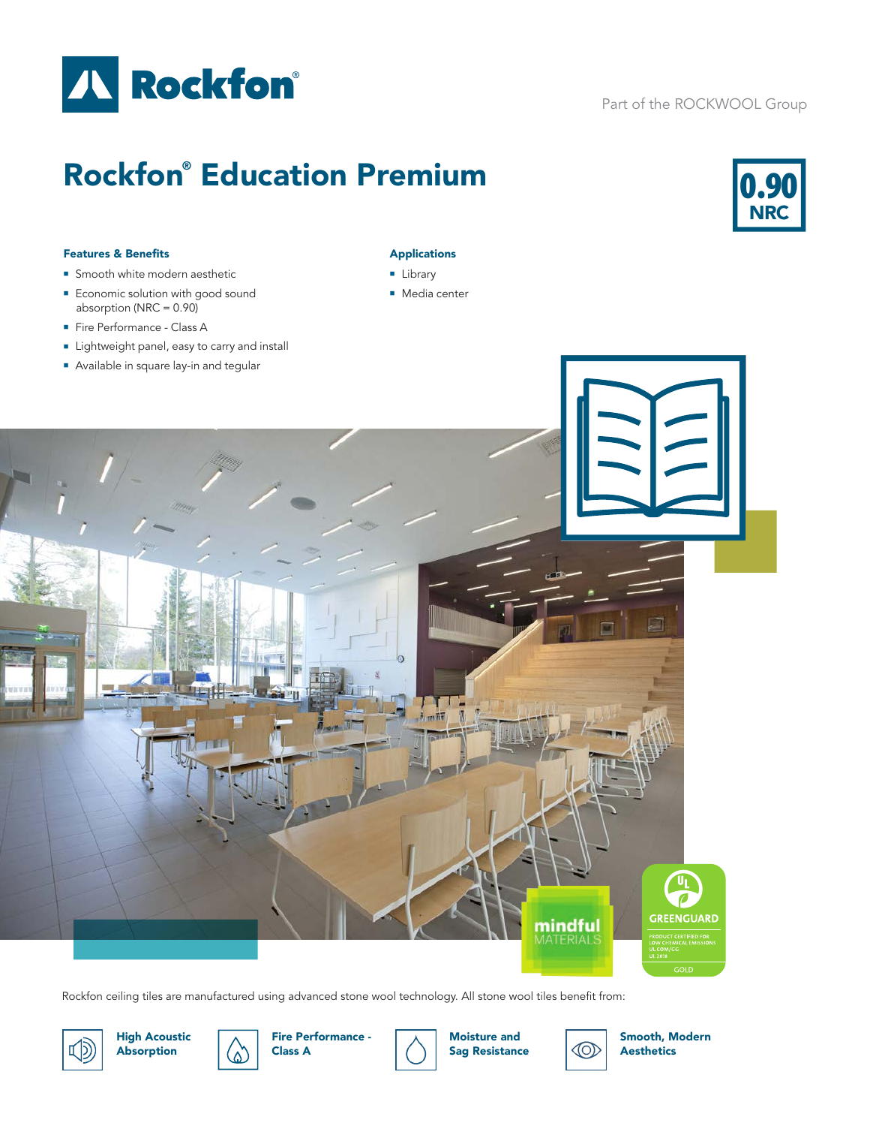

# Part of the ROCKWOOL Group

# Rockfon® Education Premium



### Features & Benefits

- **n** Smooth white modern aesthetic
- **Economic solution with good sound** absorption (NRC =  $0.90$ )
- Fire Performance Class A
- Lightweight panel, easy to carry and install
- **Available in square lay-in and tegular**

## Applications

- **Library**
- Media center



Rockfon ceiling tiles are manufactured using advanced stone wool technology. All stone wool tiles benefit from:



High Acoustic Absorption





Moisture and Sag Resistance



Smooth, Modern Aesthetics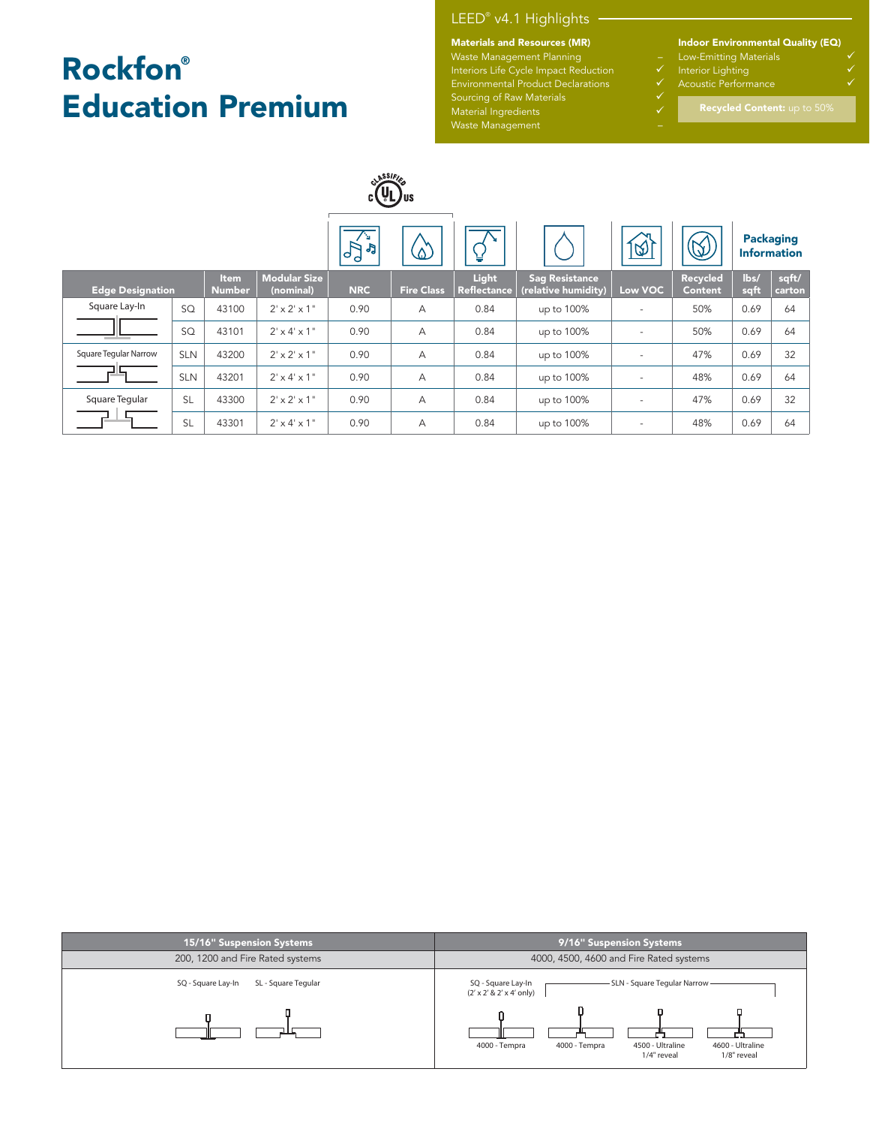# Rockfon® Education Premium

# LEED® v4.1 Highlights

### Materials and Resources (MR)

Waste Management Planning – Interiors Life Cycle Impact Reduction ↓ Sourcing of Raw Materials **Sourcing** of Raw Materials

Material Ingredients and the control of the  $\checkmark$ Waste Management –

Indoor Environmental Quality (EQ)

- Low-Emitting Materials
- Interior Lighting
- 

|                         |            |                       |                                  |                | CLASSIFIE<br><b>CLYLJUS</b> |                             |                                              |                          |                            |              |                                        |
|-------------------------|------------|-----------------------|----------------------------------|----------------|-----------------------------|-----------------------------|----------------------------------------------|--------------------------|----------------------------|--------------|----------------------------------------|
|                         |            |                       |                                  | na.<br>PP<br>P | $\Delta$                    | ¥                           |                                              | । <u>ক</u> ্য            | Q                          |              | <b>Packaging</b><br><b>Information</b> |
| <b>Edge Designation</b> |            | Item<br><b>Number</b> | <b>Modular Size</b><br>(nominal) | <b>NRC</b>     | <b>Fire Class</b>           | Light<br><b>Reflectance</b> | <b>Sag Resistance</b><br>(relative humidity) | Low VOC                  | Recycled<br><b>Content</b> | lbs/<br>sqft | sqft/<br>carton                        |
| Square Lay-In           | SQ         | 43100                 | $2' \times 2' \times 1''$        | 0.90           | A                           | 0.84                        | up to 100%                                   | $\overline{\phantom{a}}$ | 50%                        | 0.69         | 64                                     |
| - -                     | SQ         | 43101                 | $2' \times 4' \times 1''$        | 0.90           | А                           | 0.84                        | up to 100%                                   |                          | 50%                        | 0.69         | 64                                     |
| Square Tegular Narrow   | <b>SLN</b> | 43200                 | $2' \times 2' \times 1$ "        | 0.90           | А                           | 0.84                        | up to 100%                                   | $\overline{\phantom{a}}$ | 47%                        | 0.69         | 32                                     |
|                         | <b>SLN</b> | 43201                 | $2' \times 4' \times 1''$        | 0.90           | А                           | 0.84                        | up to 100%                                   |                          | 48%                        | 0.69         | 64                                     |
| Square Tegular          | <b>SL</b>  | 43300                 | $2' \times 2' \times 1''$        | 0.90           | А                           | 0.84                        | up to 100%                                   | $\overline{\phantom{a}}$ | 47%                        | 0.69         | 32                                     |
|                         | <b>SL</b>  | 43301                 | $2' \times 4' \times 1''$        | 0.90           | А                           | 0.84                        | up to 100%                                   |                          | 48%                        | 0.69         | 64                                     |

| 15/16" Suspension Systems                 | 9/16" Suspension Systems                                                                             |  |  |  |  |  |
|-------------------------------------------|------------------------------------------------------------------------------------------------------|--|--|--|--|--|
| 200, 1200 and Fire Rated systems          | 4000, 4500, 4600 and Fire Rated systems                                                              |  |  |  |  |  |
| SQ - Square Lay-In<br>SL - Square Tegular | - SLN - Square Tegular Narrow -<br>SQ - Square Lay-In<br>$(2' \times 2' \& 2' \times 4'$ only)       |  |  |  |  |  |
|                                           | 4500 - Ultraline<br>4000 - Tempra<br>4600 - Ultraline<br>4000 - Tempra<br>1/4" reveal<br>1/8" reveal |  |  |  |  |  |